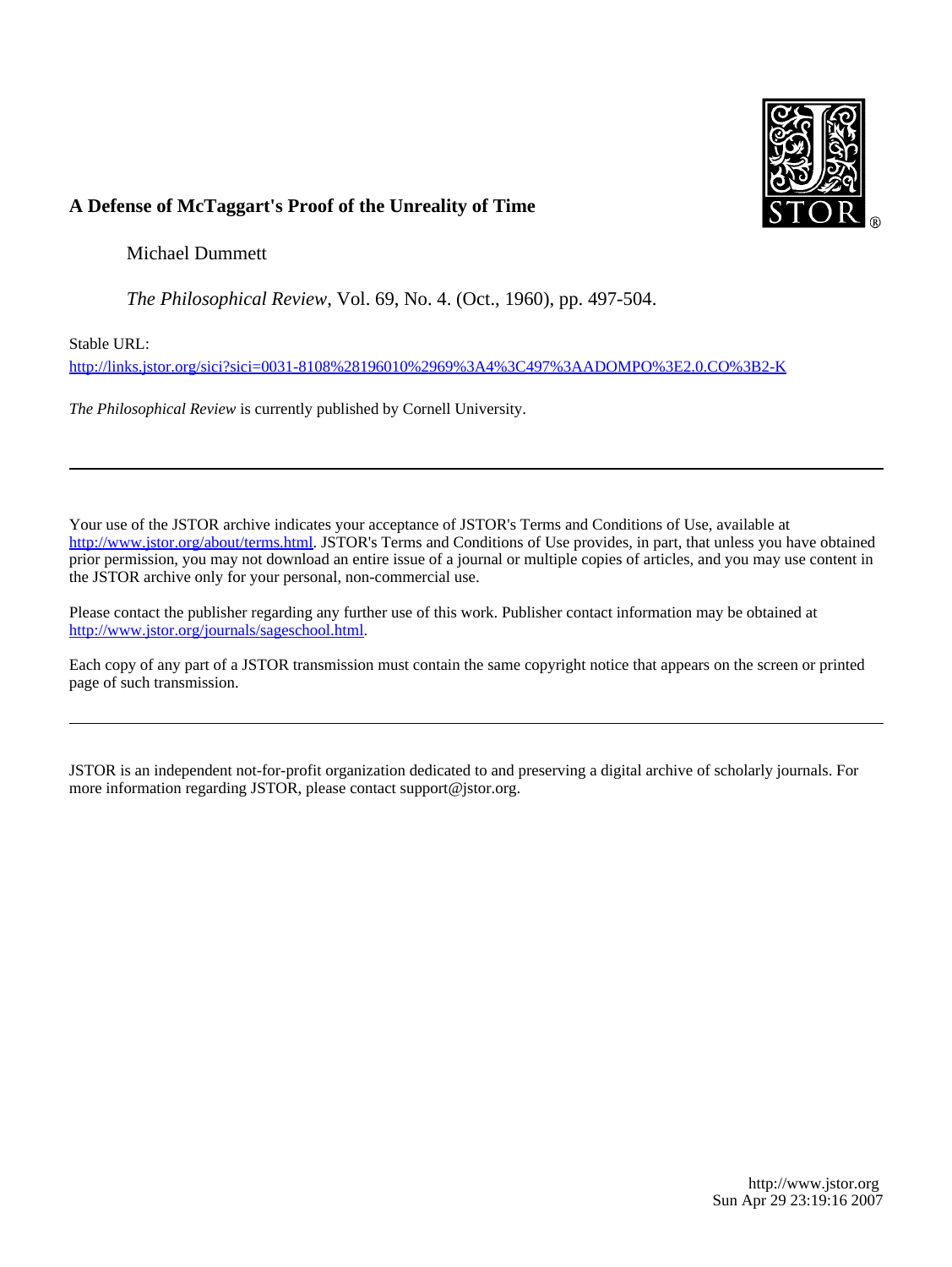

## **A Defense of McTaggart's Proof of the Unreality of Time**

Michael Dummett

*The Philosophical Review*, Vol. 69, No. 4. (Oct., 1960), pp. 497-504.

Stable URL:

<http://links.jstor.org/sici?sici=0031-8108%28196010%2969%3A4%3C497%3AADOMPO%3E2.0.CO%3B2-K>

*The Philosophical Review* is currently published by Cornell University.

Your use of the JSTOR archive indicates your acceptance of JSTOR's Terms and Conditions of Use, available at [http://www.jstor.org/about/terms.html.](http://www.jstor.org/about/terms.html) JSTOR's Terms and Conditions of Use provides, in part, that unless you have obtained prior permission, you may not download an entire issue of a journal or multiple copies of articles, and you may use content in the JSTOR archive only for your personal, non-commercial use.

Please contact the publisher regarding any further use of this work. Publisher contact information may be obtained at <http://www.jstor.org/journals/sageschool.html>.

Each copy of any part of a JSTOR transmission must contain the same copyright notice that appears on the screen or printed page of such transmission.

JSTOR is an independent not-for-profit organization dedicated to and preserving a digital archive of scholarly journals. For more information regarding JSTOR, please contact support@jstor.org.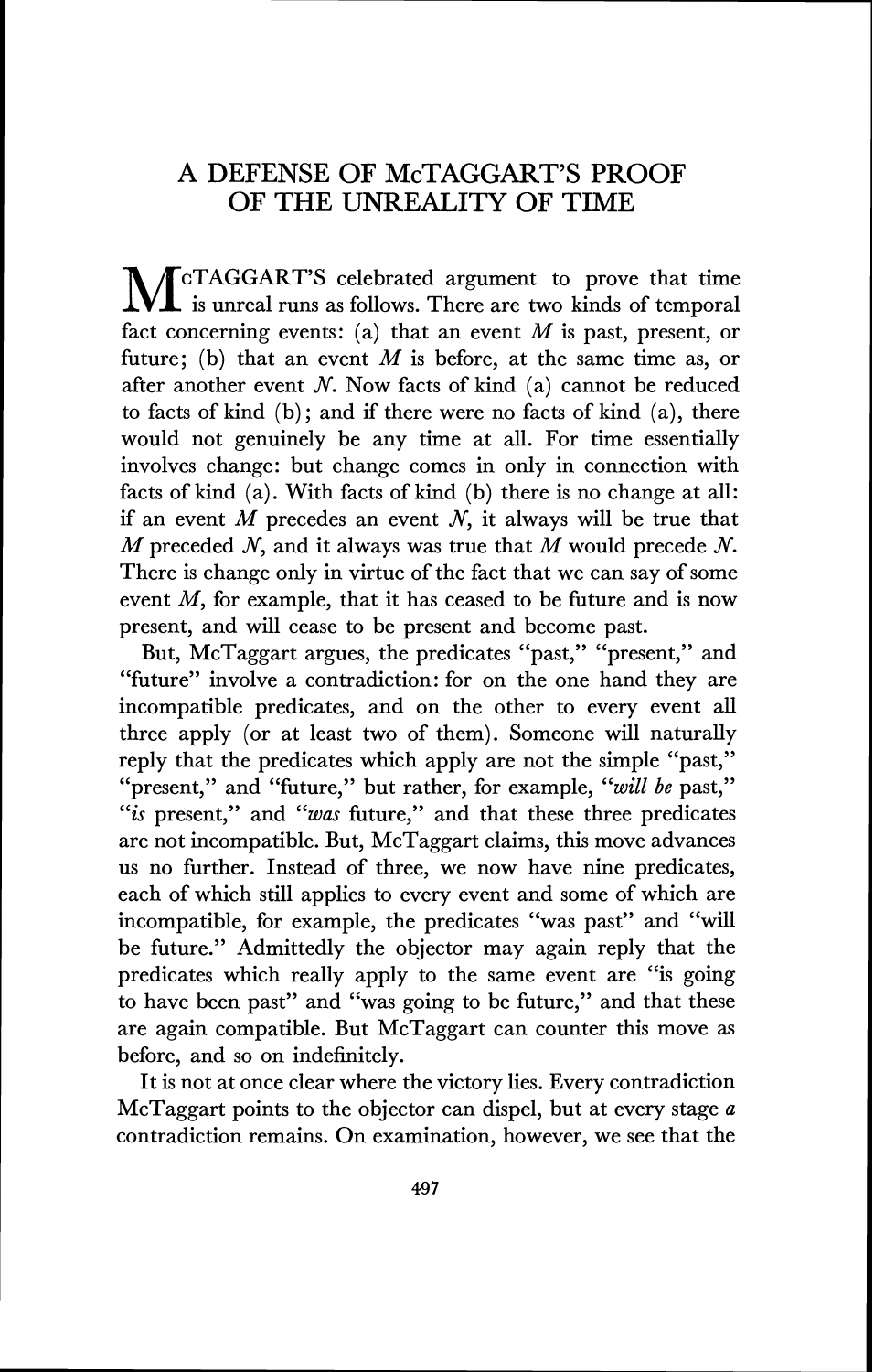## A DEFENSE OF McTAGGART'S PROOF OF THE UNREALITY OF TIME

 $\mathbf{M}$ <sup>c</sup>TAGGART'S celebrated argument to prove that time is unreal runs as follows. There are two kinds of temporal fact concerning events: (a) that an event M is past, present, or future; (b) that an event  $M$  is before, at the same time as, or after another event  $N$ . Now facts of kind (a) cannot be reduced to facts of kind  $(b)$ ; and if there were no facts of kind  $(a)$ , there would not genuinely be any time at all. For time essentially involves change: but change comes in only in connection with facts of kind (a). With facts of kind (b) there is no change at all: if an event  $\dot{M}$  precedes an event  $\dot{N}$ , it always will be true that M preceded N, and it always was true that M would precede N. There is change only in virtue of the fact that we can say of some event  $M$ , for example, that it has ceased to be future and is now present, and will cease to be present and become past.

But, McTaggart argues, the predicates "past," "present," and "future" involve a contradiction: for on the one hand they are incompatible predicates, and on the other to every event all three apply (or at least two of them). Someone will naturally reply that the predicates which apply are not the simple "past," "present," and "future," but rather, for example, "will be past," "is present," and "was future," and that these three predicates are not incompatible. But, McTaggart claims, this move advances us no further. Instead of three, we now have nine predicates, each of which still applies to every event and some of which are incompatible, for example, the predicates "was past" and "will be future." Admittedly the objector may again reply that the predicates which really apply to the same event are "is going to have been past" and "was going to be future," and that these are again compatible. But McTaggart can counter this move as before, and so on indefinitely.

It is not at once clear where the victory lies. Every contradiction McTaggart points to the objector can dispel, but at every stage a contradiction remains. On examination, however, we see that the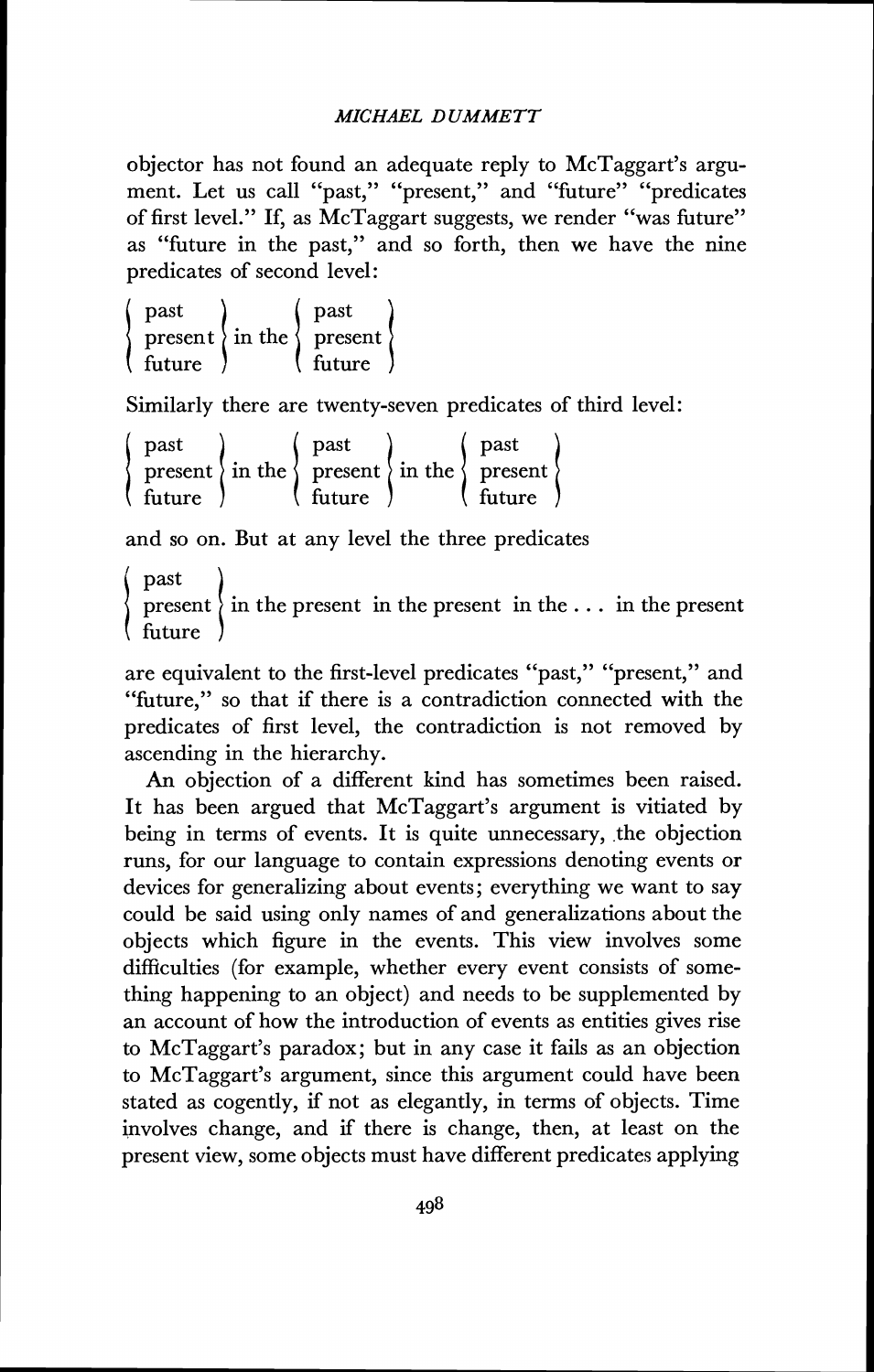objector has not found an adequate reply to McTaggart's argument. Let us call "past," "present," and "future" "predicates of first level." If, as McTaggart suggests, we render "was future" as "future in the past," and so forth, then we have the nine predicates of second level:

| past                     | past              |  |
|--------------------------|-------------------|--|
| present $\}$ in the $\{$ | $present \rangle$ |  |
| future                   | future            |  |

Similarly there are twenty-seven predicates of third level:

| past   | past                                                      | past   |
|--------|-----------------------------------------------------------|--------|
|        | present $\{$ in the $\{$ present $\}$ in the $\{$ present |        |
| future | future                                                    | future |

and so on. But at any level the three predicates

past<br>present  $\left\{\text{in the present in the } \ldots \text{ in the present} \right\}$ 

are equivalent to the first-level predicates "past," "present," and "future," so that if there is a contradiction connected with the predicates of first level, the contradiction is not removed by ascending in the hierarchy.

An objection of a different kind has sometimes been raised. It has been argued that McTaggart's argument is vitiated by being in terms of events. It is quite unnecessary, the objection runs, for our language to contain expressions denoting events or devices for generalizing about events; everything we want to say could be said using only names of and generalizations about the objects which figure in the events. This view involves some difficulties (for example, whether every event consists of something happening to an object) and needs to be supplemented by an account of how the introduction of events as entities gives rise to McTaggart's paradox; but in any case it fails as an objection to McTaggart's argument, since this argument could have been stated as cogently, if not as elegantly, in terms of objects. Time involves change, and if there is change, then, at least on the present view, some objects must have different predicates applying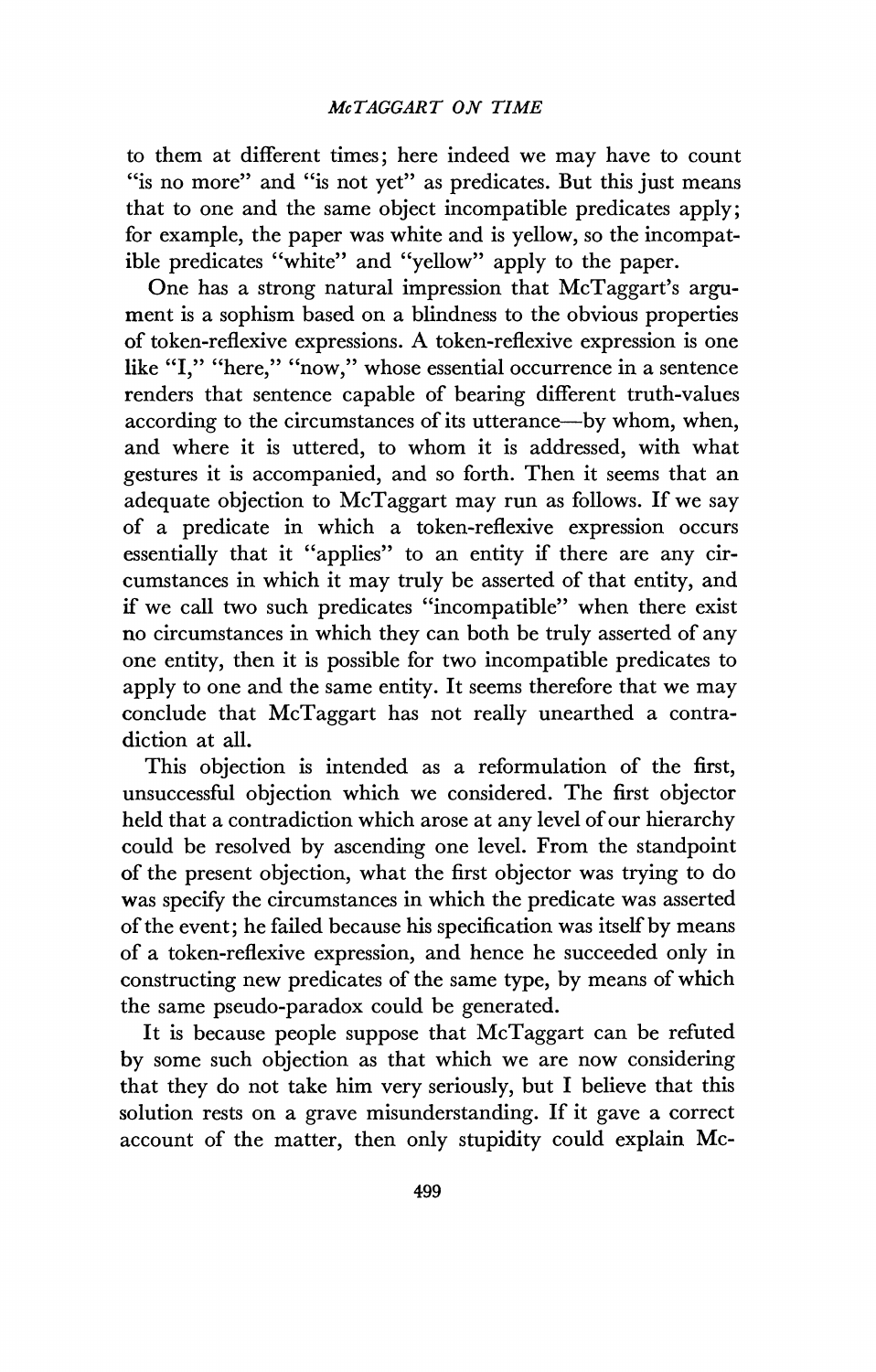to them at different times; here indeed we may have to count "is no more" and "is not yet" as predicates. But this just means that to one and the same object incompatible predicates apply; for example, the paper was white and is yellow, so the incompatible predicates "white" and "yellow" apply to the paper.

One has a strong natural impression that McTaggart's argument is a sophism based on a blindness to the obvious properties of token-reflexive expressions. A token-reflexive expression is one like "I," "here," "now," whose essential occurrence in a sentence renders that sentence capable of bearing different truth-values according to the circumstances of its utterance-by whom, when, and where it is uttered, to whom it is addressed, with what gestures it is accompanied, and so forth. Then it seems that an adequate objection to McTaggart may run as follows. If we say of a predicate in which a token-reflexive expression occurs essentially that it "applies" to an entity if there are any circumstances in which it may truly be asserted of that entity, and if we call two such predicates "incompatible" when there exist no circumstances in which they can both be truly asserted of any one entity, then it is possible for two incompatible predicates to apply to one and the same entity. It seems therefore that we may conclude that McTaggart has not really unearthed a contradiction at all.

This objection is intended as a reformulation of the first, unsuccessful objection which we considered. The first objector held that a contradiction which arose at any level of our hierarchy could be resolved by ascending one level. From the standpoint of the present objection, what the first objector was trying to do was specify the circumstances in which the predicate was asserted of the event; he failed because his specification was itself by means of a token-reflexive expression, and hence he succeeded only in constructing new predicates of the same type, by means of which the same pseudo-paradox could be generated.

It is because people suppose that McTaggart can be refuted by some such objection as that which we are now considering that they do not take him very seriously, but I believe that this solution rests on a grave misunderstanding. If it gave a correct account of the matter, then only stupidity could explain Mc-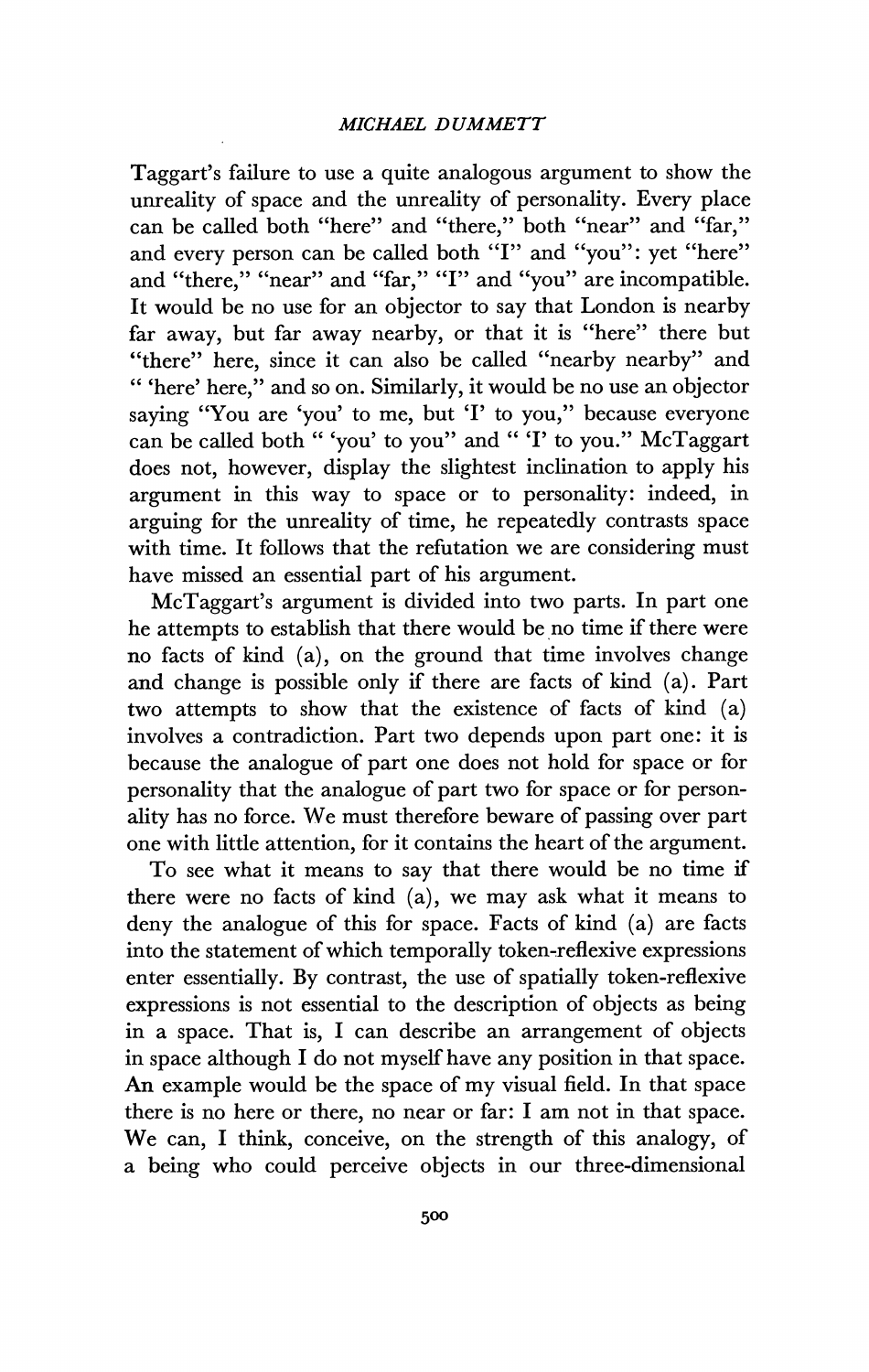Taggart's failure to use a quite analogous argument to show the unreality of space and the unreality of personality. Every place can be called both "here" and "there," both "near" and "far," and every person can be called both "I" and "you": yet "here" and "there," "near" and "far," "I" and "you" are incompatible. It would be no use for an objector to say that London is nearby far away, but far away nearby, or that it is "here" there but "there" here, since it can also be called "nearby nearby" and " 'here' here," and so on. Similarly, it would be no use an objector saying "You are 'you' to me, but 'I' to you," because everyone can be called both " 'you' to you" and " 'I' to you." McTaggart does not, however, display the slightest inclination to apply his argument in this way to space or to personality: indeed, in arguing for the unreality of time, he repeatedly contrasts space with time. It follows that the refutation we are considering must have missed an essential part of his argument.

McTaggart's argument is divided into two parts. In part one he attempts to establish that there would be no time if there were no facts of kind (a), on the ground that time involves change and change is possible only if there are facts of kind (a). Part two attempts to show that the existence of facts of kind (a) involves a contradiction. Part two depends upon part one: it is because the analogue of part one does not hold for space or for personality that the analogue of part two for space or for personality has no force. We must therefore beware of passing over part one with little attention, for it contains the heart of the argument.

To see what it means to say that there would be no time if there were no facts of kind (a), we may ask what it means to deny the analogue of this for space. Facts of kind (a) are facts into the statement of which temporally token-reflexive expressions enter essentially. By contrast, the use of spatially token-reflexive expressions is not essential to the description of objects as being in a space. That is, I can describe an arrangement of objects in space although I do not myself have any position in that space. An example would be the space of my visual field. In that space there is no here or there, no near or far: I am not in that space. We can, I think, conceive, on the strength of this analogy, of a being who could perceive objects in our three-dimensional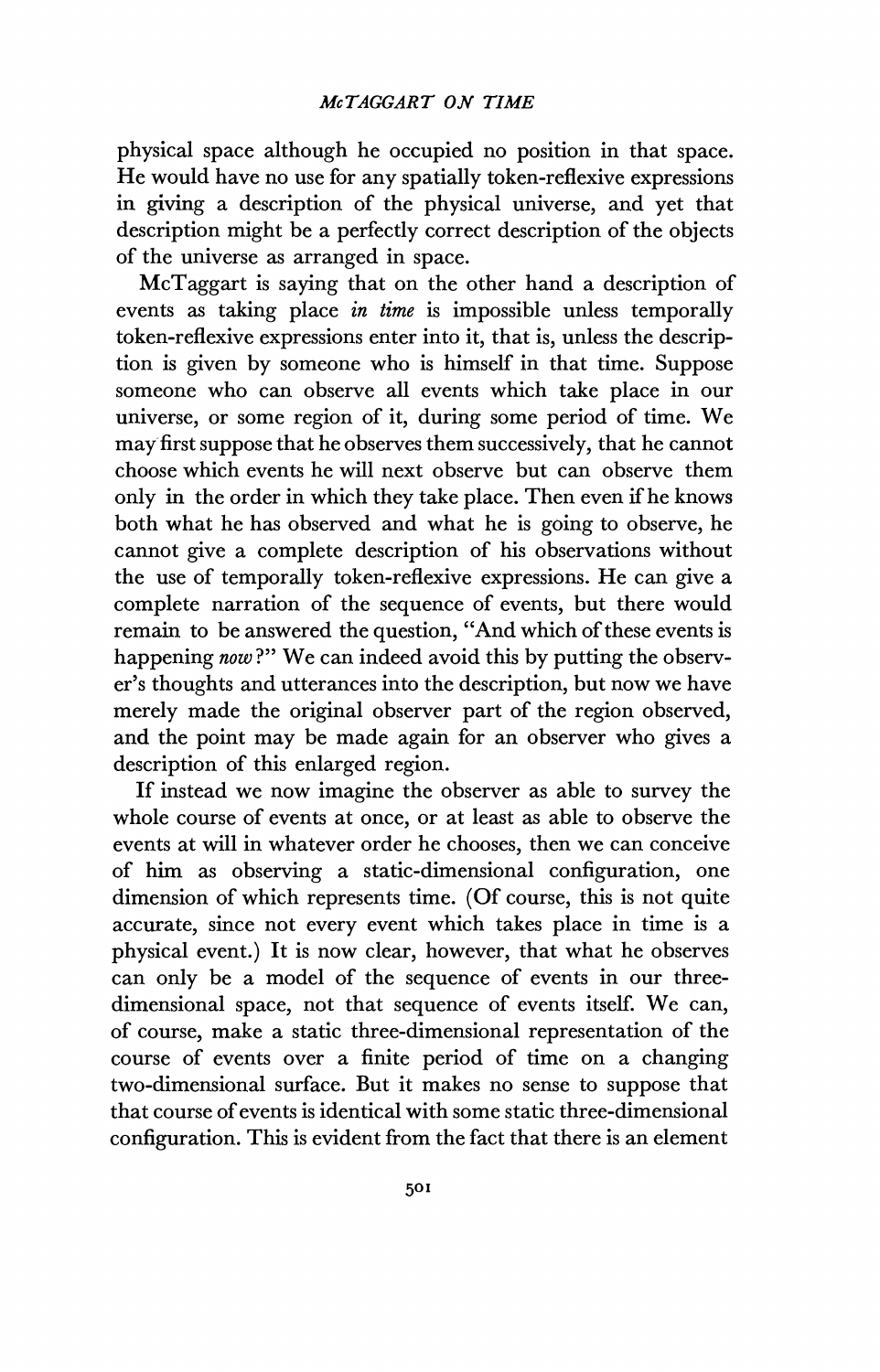physical space although he occupied no position in that space. He would have no use for any spatially token-reflexive expressions in giving a description of the physical universe, and yet that description might be a perfectly correct description of the objects of the universe as arranged in space.

McTaggart is saying that on the other hand a description of events as taking place **in time** is impossible unless temporally token-reflexive expressions enter into it, that is, unless the description is given by someone who is himself in that time. Suppose someone who can observe all events which take place in our universe, or some region of it, during some period of time. We may first suppose that he observes them successively, that he cannot choose which events he will next observe but can observe them only in the order in which they take place. Then even if he knows both what he has observed and what he is going to observe, he cannot give a complete description of his observations without the use of temporally token-reflexive expressions. He can give a complete narration of the sequence of events, but there would remain to be answered the question, "And which of these events is happening **now** ?" We can indeed avoid this by putting the observer's thoughts and utterances into the description, but now we have merely made the original observer part of the region observed, and the point may be made again for an observer who gives a description of this enlarged region.

If instead we now imagine the observer as able to survey the whole course of events at once, or at least as able to observe the events at will in whatever order he chooses, then we can conceive of him as observing a static-dimensional configuration, one dimension of which represents time. (Of course, this is not quite accurate, since not every event which takes place in time is a physical event.) It is now clear, however, that what he observes can only be a model of the sequence of events in our threedimensional space, not that sequence of events itself. We can, of course, make a static three-dimensional representation of the course of events over a finite period of time on a changing two-dimensional surface. But it makes no sense to suppose that that course of events is identical with some static three-dimensional configuration. This is evident from the fact that there is an element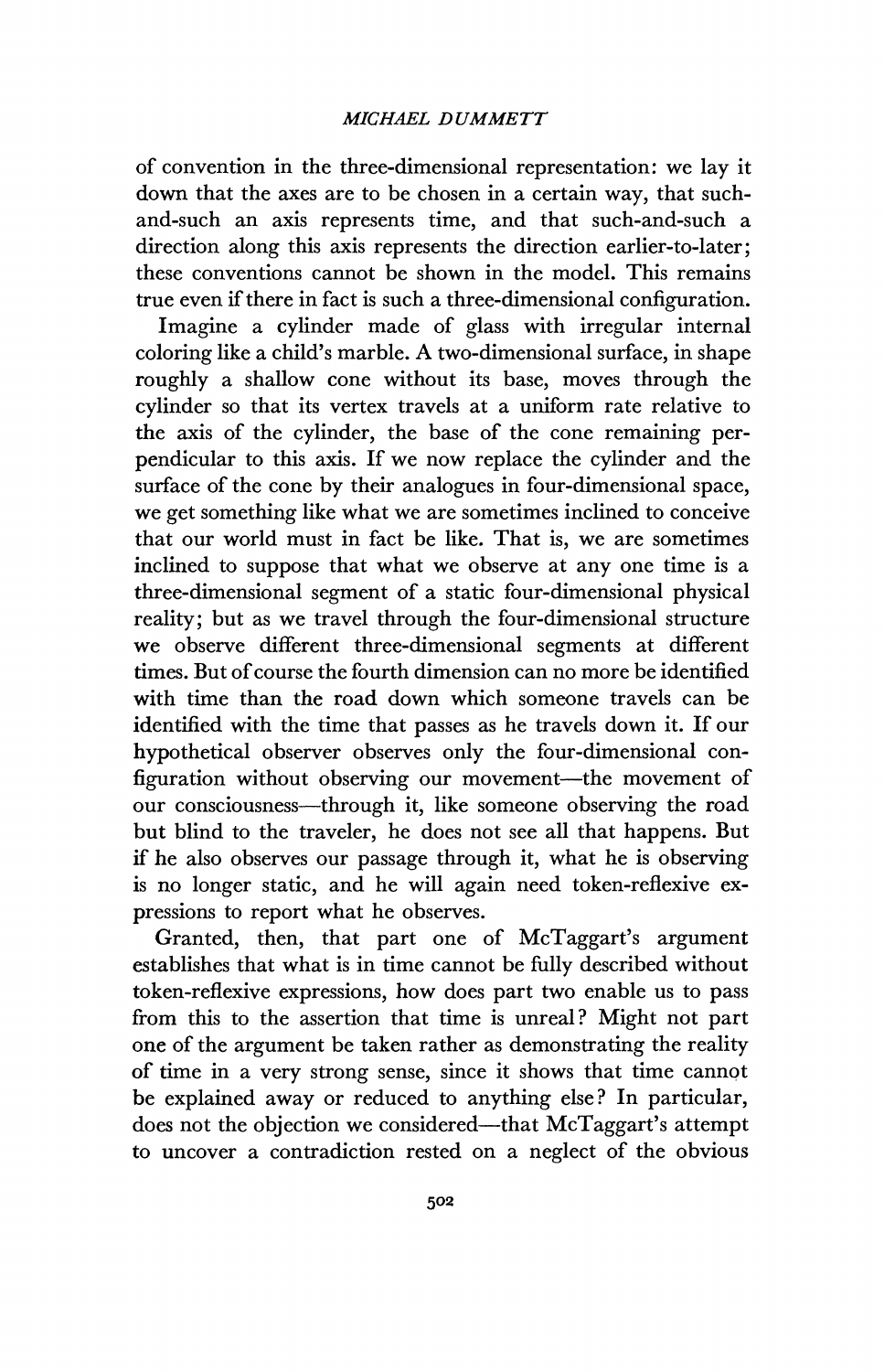## *MICHAEL D UMMETT*

of convention in the three-dimensional representation: we lay it down that the axes are to be chosen in a certain way, that suchand-such an axis represents time, and that such-and-such a direction along this axis represents the direction earlier-to-later; these conventions cannot be shown in the model. This remains true even if there in fact is such a three-dimensional configuration.

Imagine a cylinder made of glass with irregular internal coloring like a child's marble. **A** two-dimensional surface, in shape roughly a shallow cone without its base, moves through the cylinder so that its vertex travels at a uniform rate relative to the axis of the cylinder, the base of the cone remaining perpendicular to this axis. If we now replace the cylinder and the surface of the cone by their analogues in four-dimensional space, we get something like what we are sometimes inclined to conceive that our world must in fact be like. That is, we are sometimes inclined to suppose that what we observe at any one time is a three-dimensional segment of a static four-dimensional physical reality; but as we travel through the four-dimensional structure we observe different three-dimensional segments at different times. But of course the fourth dimension can no more be identified with time than the road down which someone travels can be identified with the time that passes as he travels down it. If our hypothetical observer observes only the four-dimensional configuration without observing our movement-the movement of our consciousness-through it, like someone observing the road but blind to the traveler, he does not see all that happens. But if he also observes our passage through it, what he is observing is no longer static, and he will again need token-reflexive expressions to report what he observes.

Granted, then, that part one of  $McTaggart's$  argument establishes that what is in time cannot be fully described without token-reflexive expressions, how does part two enable us to pass from this to the assertion that time is unreal? Might not part one of the argument be taken rather as demonstrating the reality of time in a very strong sense, since it shows that time cannot be explained away or reduced to anything else? In particular, does not the objection we considered-that McTaggart's attempt to uncover a contradiction rested on a neglect of the obvious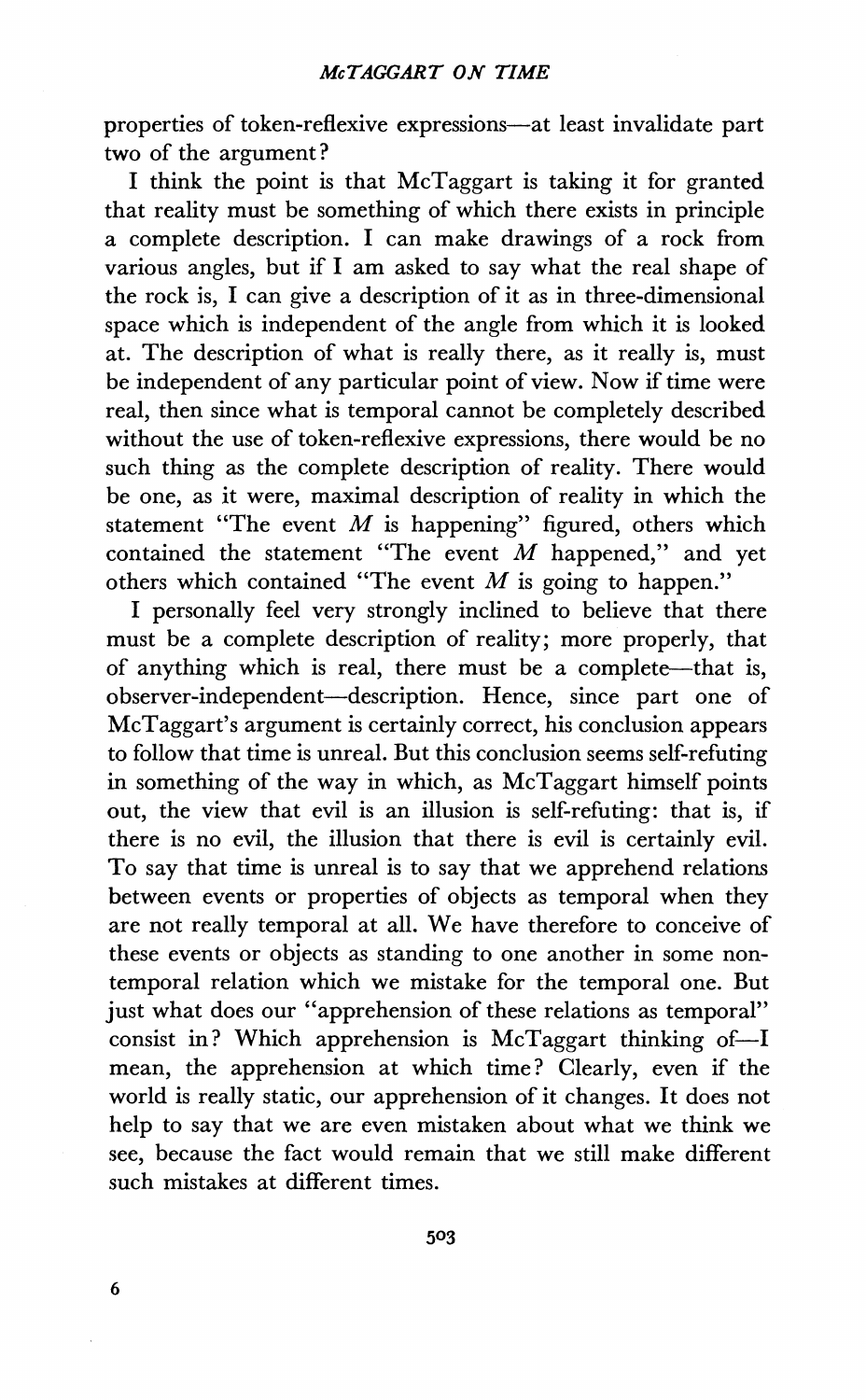properties of token-reflexive expressions-at least invalidate part two of the argument?

I think the point is that McTaggart is taking it for granted that reality must be something of which there exists in principle a complete description. I can make drawings of a rock from various angles, but if I am asked to say what the real shape of the rock is, I can give a description of it as in three-dimensional space which is independent of the angle from which it is looked at. The description of what is really there, as it really is, must be independent of any particular point of view. Now if time were real, then since what is temporal cannot be completely described without the use of token-reflexive expressions, there would be no such thing as the complete description of reality. There would be one, as it were, maximal description of reality in which the statement "The event  $M$  is happening" figured, others which contained the statement "The event  $M$  happened," and yet others which contained "The event  $M$  is going to happen."

I personally feel very strongly inclined to believe that there must be a complete description of reality; more properly, that of anything which is real, there must be a complete-that is, observer-independent-description. Hence, since part one of McTaggart's argument is certainly correct, his conclusion appears to follow that time is unreal. But this conclusion seems self-refuting in something of the way in which, as McTaggart himself points out, the view that evil is an illusion is self-refuting: that is, if there is no evil, the illusion that there is evil is certainly evil. To say that time is unreal is to say that we apprehend relations between events or properties of objects as temporal when they are not really temporal at all. We have therefore to conceive of these events or objects as standing to one another in some nontemporal relation which we mistake for the temporal one. But just what does our "apprehension of these relations as temporal" consist in? Which apprehension is McTaggart thinking of-I mean, the apprehension at which time? Clearly, even if the world is really static, our apprehension of it changes. It does not help to say that we are even mistaken about what we think we see, because the fact would remain that we still make different such mistakes at different times.